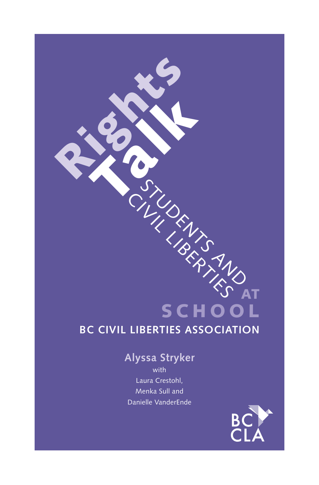## **SCHOOL BC CIVIL LIBERTIES ASSOCIATION**

## **Alyssa Stryker**

STUDENTS AND CIVIL LIBERTIES Rights Talk AT

with Laura Crestohl, Menka Sull and Danielle VanderEnde

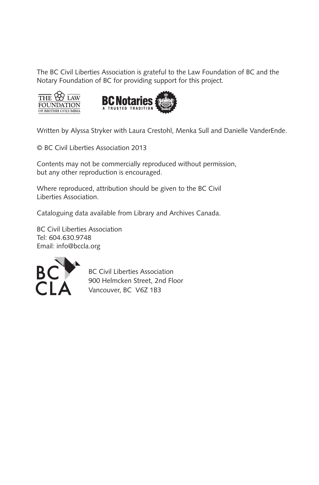The BC Civil Liberties Association is grateful to the Law Foundation of BC and the Notary Foundation of BC for providing support for this project.





Written by Alyssa Stryker with Laura Crestohl, Menka Sull and Danielle VanderEnde.

© BC Civil Liberties Association 2013

Contents may not be commercially reproduced without permission, but any other reproduction is encouraged.

Where reproduced, attribution should be given to the BC Civil Liberties Association.

Cataloguing data available from Library and Archives Canada.

BC Civil Liberties Association Tel: 604.630.9748 Email: info@bccla.org



BC Civil Liberties Association 900 Helmcken Street, 2nd Floor Vancouver, BC V6Z 1B3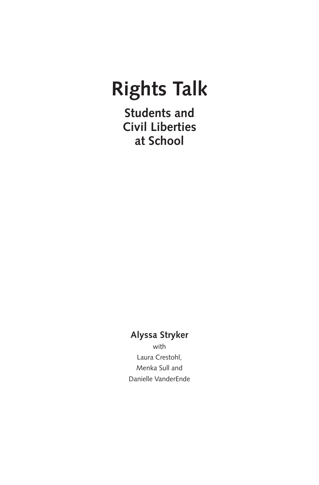# **Rights Talk**

**Students and Civil Liberties at School**

## **Alyssa Stryker**

with Laura Crestohl, Menka Sull and Danielle VanderEnde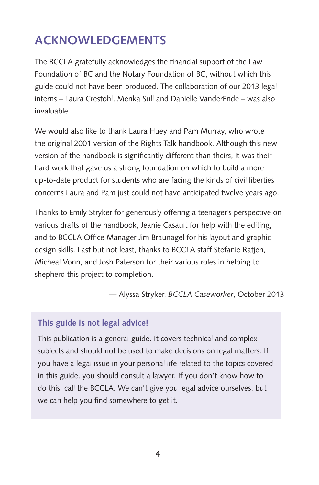## **Acknowledgements**

The BCCLA gratefully acknowledges the financial support of the Law Foundation of BC and the Notary Foundation of BC, without which this guide could not have been produced. The collaboration of our 2013 legal interns – Laura Crestohl, Menka Sull and Danielle VanderEnde – was also invaluable.

We would also like to thank Laura Huey and Pam Murray, who wrote the original 2001 version of the Rights Talk handbook. Although this new version of the handbook is significantly different than theirs, it was their hard work that gave us a strong foundation on which to build a more up-to-date product for students who are facing the kinds of civil liberties concerns Laura and Pam just could not have anticipated twelve years ago.

Thanks to Emily Stryker for generously offering a teenager's perspective on various drafts of the handbook, Jeanie Casault for help with the editing, and to BCCLA Office Manager Jim Braunagel for his layout and graphic design skills. Last but not least, thanks to BCCLA staff Stefanie Ratjen, Micheal Vonn, and Josh Paterson for their various roles in helping to shepherd this project to completion.

— Alyssa Stryker, *BCCLA Caseworker*, October 2013

## **This guide is not legal advice!**

This publication is a general guide. It covers technical and complex subjects and should not be used to make decisions on legal matters. If you have a legal issue in your personal life related to the topics covered in this guide, you should consult a lawyer. If you don't know how to do this, call the BCCLA. We can't give you legal advice ourselves, but we can help you find somewhere to get it.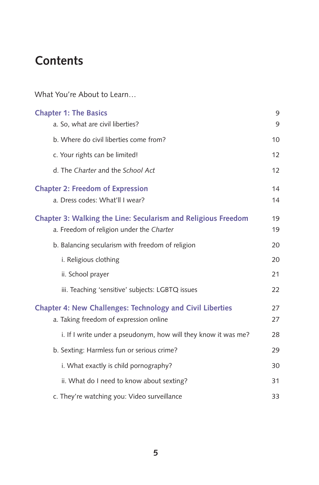## **Contents**

What You're About to Learn…

| <b>Chapter 1: The Basics</b><br>a. So, what are civil liberties?                                           | 9<br>9   |
|------------------------------------------------------------------------------------------------------------|----------|
| b. Where do civil liberties come from?                                                                     | 10       |
| c. Your rights can be limited!                                                                             | 12       |
| d. The Charter and the School Act                                                                          | 12       |
| <b>Chapter 2: Freedom of Expression</b><br>a. Dress codes: What'll I wear?                                 | 14<br>14 |
| Chapter 3: Walking the Line: Secularism and Religious Freedom<br>a. Freedom of religion under the Charter  | 19<br>19 |
| b. Balancing secularism with freedom of religion                                                           | 20       |
| i. Religious clothing                                                                                      | 20       |
| ii. School prayer                                                                                          | 21       |
| iii. Teaching 'sensitive' subjects: LGBTQ issues                                                           | 22       |
| <b>Chapter 4: New Challenges: Technology and Civil Liberties</b><br>a. Taking freedom of expression online | 27<br>27 |
| i. If I write under a pseudonym, how will they know it was me?                                             | 28       |
| b. Sexting: Harmless fun or serious crime?                                                                 | 29       |
| i. What exactly is child pornography?                                                                      | 30       |
| ii. What do I need to know about sexting?                                                                  | 31       |
| c. They're watching you: Video surveillance                                                                | 33       |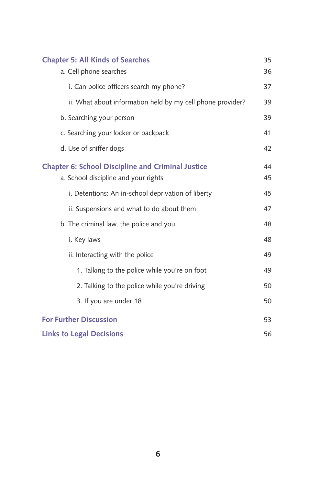| <b>Chapter 5: All Kinds of Searches</b>                    | 35 |
|------------------------------------------------------------|----|
| a. Cell phone searches                                     | 36 |
| i. Can police officers search my phone?                    | 37 |
| ii. What about information held by my cell phone provider? | 39 |
| b. Searching your person                                   | 39 |
| c. Searching your locker or backpack                       | 41 |
| d. Use of sniffer dogs                                     | 42 |
| <b>Chapter 6: School Discipline and Criminal Justice</b>   | 44 |
| a. School discipline and your rights                       | 45 |
| i. Detentions: An in-school deprivation of liberty         | 45 |
| ii. Suspensions and what to do about them                  | 47 |
| b. The criminal law, the police and you                    | 48 |
| i. Key laws                                                | 48 |
| ii. Interacting with the police                            | 49 |
| 1. Talking to the police while you're on foot              | 49 |
| 2. Talking to the police while you're driving              | 50 |
| 3. If you are under 18                                     | 50 |
| <b>For Further Discussion</b>                              | 53 |
| <b>Links to Legal Decisions</b>                            | 56 |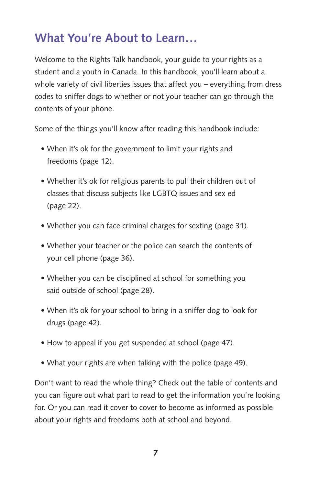## **What You're About to Learn…**

Welcome to the Rights Talk handbook, your guide to your rights as a student and a youth in Canada. In this handbook, you'll learn about a whole variety of civil liberties issues that affect you – everything from dress codes to sniffer dogs to whether or not your teacher can go through the contents of your phone.

Some of the things you'll know after reading this handbook include:

- When it's ok for the government to limit your rights and freedoms (page 12).
- Whether it's ok for religious parents to pull their children out of classes that discuss subjects like LGBTQ issues and sex ed (page 22).
- Whether you can face criminal charges for sexting (page 31).
- Whether your teacher or the police can search the contents of your cell phone (page 36).
- Whether you can be disciplined at school for something you said outside of school (page 28).
- When it's ok for your school to bring in a sniffer dog to look for drugs (page 42).
- How to appeal if you get suspended at school (page 47).
- What your rights are when talking with the police (page 49).

Don't want to read the whole thing? Check out the table of contents and you can figure out what part to read to get the information you're looking for. Or you can read it cover to cover to become as informed as possible about your rights and freedoms both at school and beyond.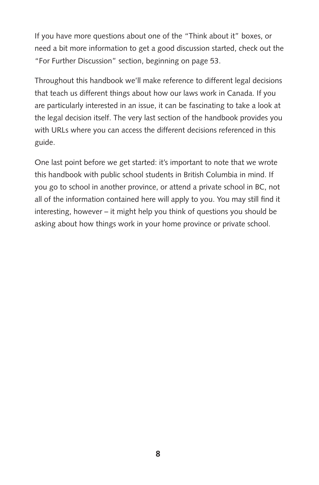If you have more questions about one of the "Think about it" boxes, or need a bit more information to get a good discussion started, check out the "For Further Discussion" section, beginning on page 53.

Throughout this handbook we'll make reference to different legal decisions that teach us different things about how our laws work in Canada. If you are particularly interested in an issue, it can be fascinating to take a look at the legal decision itself. The very last section of the handbook provides you with URLs where you can access the different decisions referenced in this guide.

One last point before we get started: it's important to note that we wrote this handbook with public school students in British Columbia in mind. If you go to school in another province, or attend a private school in BC, not all of the information contained here will apply to you. You may still find it interesting, however – it might help you think of questions you should be asking about how things work in your home province or private school.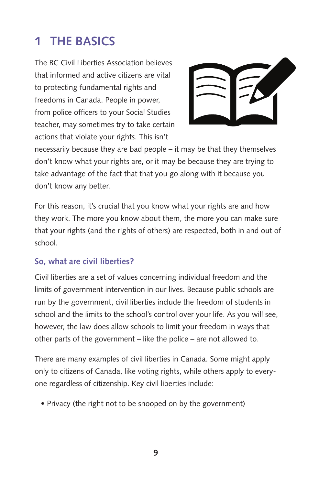## **1 The Basics**

The BC Civil Liberties Association believes that informed and active citizens are vital to protecting fundamental rights and freedoms in Canada. People in power, from police officers to your Social Studies teacher, may sometimes try to take certain actions that violate your rights. This isn't



necessarily because they are bad people – it may be that they themselves don't know what your rights are, or it may be because they are trying to take advantage of the fact that that you go along with it because you don't know any better.

For this reason, it's crucial that you know what your rights are and how they work. The more you know about them, the more you can make sure that your rights (and the rights of others) are respected, both in and out of school.

## **So, what are civil liberties?**

Civil liberties are a set of values concerning individual freedom and the limits of government intervention in our lives. Because public schools are run by the government, civil liberties include the freedom of students in school and the limits to the school's control over your life. As you will see, however, the law does allow schools to limit your freedom in ways that other parts of the government – like the police – are not allowed to.

There are many examples of civil liberties in Canada. Some might apply only to citizens of Canada, like voting rights, while others apply to everyone regardless of citizenship. Key civil liberties include:

• Privacy (the right not to be snooped on by the government)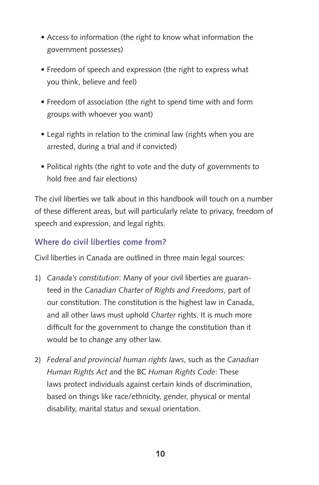- Access to information (the right to know what information the government possesses)
- Freedom of speech and expression (the right to express what you think, believe and feel)
- Freedom of association (the right to spend time with and form groups with whoever you want)
- Legal rights in relation to the criminal law (rights when you are arrested, during a trial and if convicted)
- Political rights (the right to vote and the duty of governments to hold free and fair elections)

The civil liberties we talk about in this handbook will touch on a number of these different areas, but will particularly relate to privacy, freedom of speech and expression, and legal rights.

## **Where do civil liberties come from?**

Civil liberties in Canada are outlined in three main legal sources:

- 1) *Canada's constitution*: Many of your civil liberties are guaranteed in the *Canadian Charter of Rights and Freedoms*, part of our constitution. The constitution is the highest law in Canada, and all other laws must uphold *Charter* rights. It is much more difficult for the government to change the constitution than it would be to change any other law.
- 2) *Federal and provincial human rights laws*, such as the *Canadian Human Rights Act* and the BC *Human Rights Code*: These laws protect individuals against certain kinds of discrimination, based on things like race/ethnicity, gender, physical or mental disability, marital status and sexual orientation.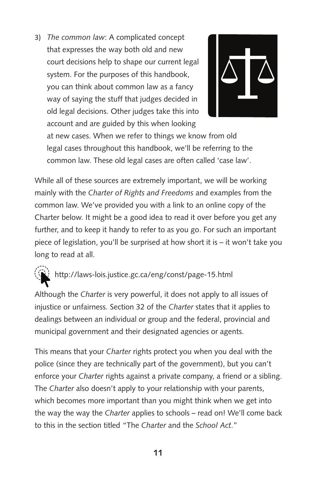3) *The common law*: A complicated concept that expresses the way both old and new court decisions help to shape our current legal system. For the purposes of this handbook, you can think about common law as a fancy way of saying the stuff that judges decided in old legal decisions. Other judges take this into account and are guided by this when looking



at new cases. When we refer to things we know from old legal cases throughout this handbook, we'll be referring to the common law. These old legal cases are often called 'case law'.

While all of these sources are extremely important, we will be working mainly with the *Charter of Rights and Freedoms* and examples from the common law. We've provided you with a link to an online copy of the Charter below. It might be a good idea to read it over before you get any further, and to keep it handy to refer to as you go. For such an important piece of legislation, you'll be surprised at how short it is – it won't take you long to read at all.

## <http://laws-lois.justice.gc.ca/eng/const/page-15.html>

Although the *Charter* is very powerful, it does not apply to all issues of injustice or unfairness. Section 32 of the *Charter* states that it applies to dealings between an individual or group and the federal, provincial and municipal government and their designated agencies or agents.

This means that your *Charter* rights protect you when you deal with the police (since they are technically part of the government), but you can't enforce your *Charter* rights against a private company, a friend or a sibling. The *Charter* also doesn't apply to your relationship with your parents, which becomes more important than you might think when we get into the way the way the *Charter* applies to schools – read on! We'll come back to this in the section titled "The *Charter* and the *School Act*."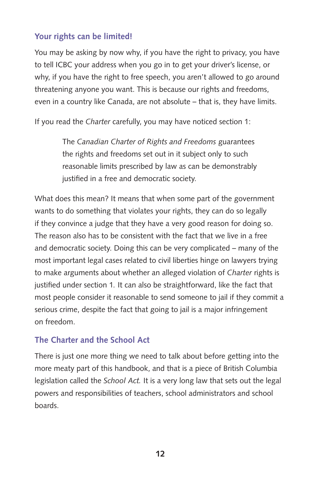## **Your rights can be limited!**

You may be asking by now why, if you have the right to privacy, you have to tell ICBC your address when you go in to get your driver's license, or why, if you have the right to free speech, you aren't allowed to go around threatening anyone you want. This is because our rights and freedoms, even in a country like Canada, are not absolute – that is, they have limits.

If you read the *Charter* carefully, you may have noticed section 1:

The *Canadian Charter of Rights and Freedoms* guarantees the rights and freedoms set out in it subject only to such reasonable limits prescribed by law as can be demonstrably justified in a free and democratic society.

What does this mean? It means that when some part of the government wants to do something that violates your rights, they can do so legally if they convince a judge that they have a very good reason for doing so. The reason also has to be consistent with the fact that we live in a free and democratic society. Doing this can be very complicated – many of the most important legal cases related to civil liberties hinge on lawyers trying to make arguments about whether an alleged violation of *Charter* rights is justified under section 1*.* It can also be straightforward, like the fact that most people consider it reasonable to send someone to jail if they commit a serious crime, despite the fact that going to jail is a major infringement on freedom.

## **The Charter and the School Act**

There is just one more thing we need to talk about before getting into the more meaty part of this handbook, and that is a piece of British Columbia legislation called the *School Act.* It is a very long law that sets out the legal powers and responsibilities of teachers, school administrators and school boards.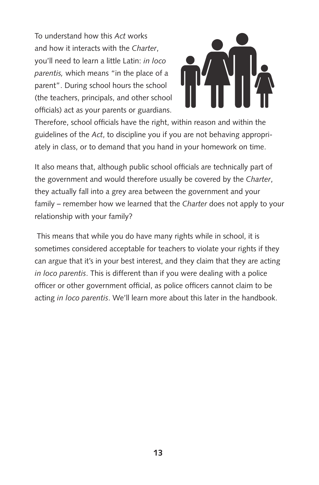To understand how this *Act* works and how it interacts with the *Charter*, you'll need to learn a little Latin: *in loco parentis,* which means "in the place of a parent". During school hours the school (the teachers, principals, and other school officials) act as your parents or guardians.



Therefore, school officials have the right, within reason and within the guidelines of the *Act*, to discipline you if you are not behaving appropriately in class, or to demand that you hand in your homework on time.

It also means that, although public school officials are technically part of the government and would therefore usually be covered by the *Charter*, they actually fall into a grey area between the government and your family – remember how we learned that the *Charter* does not apply to your relationship with your family?

 This means that while you do have many rights while in school, it is sometimes considered acceptable for teachers to violate your rights if they can argue that it's in your best interest, and they claim that they are acting *in loco parentis*. This is different than if you were dealing with a police officer or other government official, as police officers cannot claim to be acting *in loco parentis*. We'll learn more about this later in the handbook.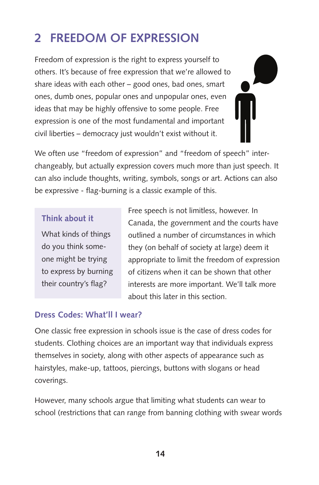## **2 Freedom of Expression**

Freedom of expression is the right to express yourself to others. It's because of free expression that we're allowed to share ideas with each other – good ones, bad ones, smart ones, dumb ones, popular ones and unpopular ones, even ideas that may be highly offensive to some people. Free expression is one of the most fundamental and important civil liberties – democracy just wouldn't exist without it.

We often use "freedom of expression" and "freedom of speech" interchangeably, but actually expression covers much more than just speech. It can also include thoughts, writing, symbols, songs or art. Actions can also be expressive - flag-burning is a classic example of this.

#### **Think about it**

What kinds of things do you think someone might be trying to express by burning their country's flag?

Free speech is not limitless, however. In Canada, the government and the courts have outlined a number of circumstances in which they (on behalf of society at large) deem it appropriate to limit the freedom of expression of citizens when it can be shown that other interests are more important. We'll talk more about this later in this section.

## **Dress Codes: What'll I wear?**

One classic free expression in schools issue is the case of dress codes for students. Clothing choices are an important way that individuals express themselves in society, along with other aspects of appearance such as hairstyles, make-up, tattoos, piercings, buttons with slogans or head coverings.

However, many schools argue that limiting what students can wear to school (restrictions that can range from banning clothing with swear words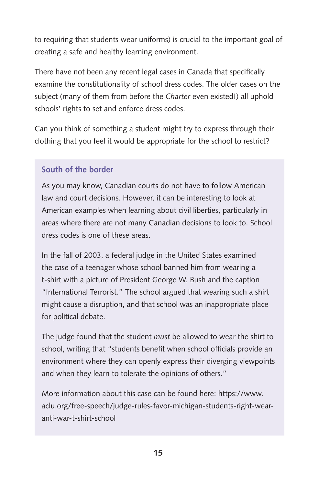to requiring that students wear uniforms) is crucial to the important goal of creating a safe and healthy learning environment.

There have not been any recent legal cases in Canada that specifically examine the constitutionality of school dress codes. The older cases on the subject (many of them from before the *Charter* even existed!) all uphold schools' rights to set and enforce dress codes.

Can you think of something a student might try to express through their clothing that you feel it would be appropriate for the school to restrict?

## **South of the border**

As you may know, Canadian courts do not have to follow American law and court decisions. However, it can be interesting to look at American examples when learning about civil liberties, particularly in areas where there are not many Canadian decisions to look to. School dress codes is one of these areas.

In the fall of 2003, a federal judge in the United States examined the case of a teenager whose school banned him from wearing a t-shirt with a picture of President George W. Bush and the caption "International Terrorist." The school argued that wearing such a shirt might cause a disruption, and that school was an inappropriate place for political debate.

The judge found that the student *must* be allowed to wear the shirt to school, writing that "students benefit when school officials provide an environment where they can openly express their diverging viewpoints and when they learn to tolerate the opinions of others."

More information about this case can be found here: [https://www.](https://www.aclu.org/free-speech/judge-rules-favor-michigan-students-right-wear-anti-war-t-shirt-school) [aclu.org/free-speech/judge-rules-favor-michigan-students-right-wear](https://www.aclu.org/free-speech/judge-rules-favor-michigan-students-right-wear-anti-war-t-shirt-school)[anti-war-t-shirt-school](https://www.aclu.org/free-speech/judge-rules-favor-michigan-students-right-wear-anti-war-t-shirt-school)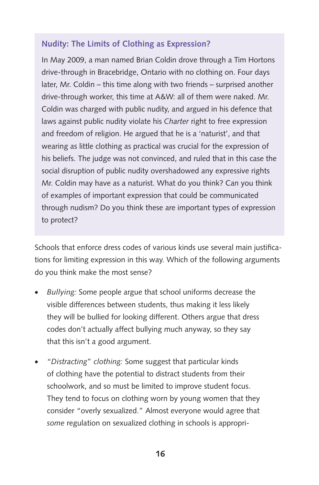## **Nudity: The Limits of Clothing as Expression?**

In May 2009, a man named Brian Coldin drove through a Tim Hortons drive-through in Bracebridge, Ontario with no clothing on. Four days later, Mr. Coldin – this time along with two friends – surprised another drive-through worker, this time at A&W: all of them were naked. Mr. Coldin was charged with public nudity, and argued in his defence that laws against public nudity violate his *Charter* right to free expression and freedom of religion. He argued that he is a 'naturist', and that wearing as little clothing as practical was crucial for the expression of his beliefs. The judge was not convinced, and ruled that in this case the social disruption of public nudity overshadowed any expressive rights Mr. Coldin may have as a naturist. What do you think? Can you think of examples of important expression that could be communicated through nudism? Do you think these are important types of expression to protect?

Schools that enforce dress codes of various kinds use several main justifications for limiting expression in this way. Which of the following arguments do you think make the most sense?

- *Bullying:* Some people argue that school uniforms decrease the visible differences between students, thus making it less likely they will be bullied for looking different. Others argue that dress codes don't actually affect bullying much anyway, so they say that this isn't a good argument.
- • "*Distracting*" *clothing:* Some suggest that particular kinds of clothing have the potential to distract students from their schoolwork, and so must be limited to improve student focus. They tend to focus on clothing worn by young women that they consider "overly sexualized." Almost everyone would agree that *some* regulation on sexualized clothing in schools is appropri-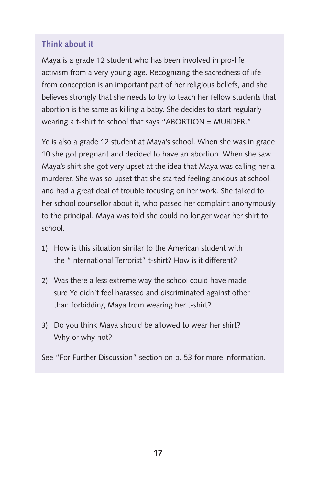## **Think about it**

Maya is a grade 12 student who has been involved in pro-life activism from a very young age. Recognizing the sacredness of life from conception is an important part of her religious beliefs, and she believes strongly that she needs to try to teach her fellow students that abortion is the same as killing a baby. She decides to start regularly wearing a t-shirt to school that says "ABORTION = MURDER."

Ye is also a grade 12 student at Maya's school. When she was in grade 10 she got pregnant and decided to have an abortion. When she saw Maya's shirt she got very upset at the idea that Maya was calling her a murderer. She was so upset that she started feeling anxious at school, and had a great deal of trouble focusing on her work. She talked to her school counsellor about it, who passed her complaint anonymously to the principal. Maya was told she could no longer wear her shirt to school.

- 1) How is this situation similar to the American student with the "International Terrorist" t-shirt? How is it different?
- 2) Was there a less extreme way the school could have made sure Ye didn't feel harassed and discriminated against other than forbidding Maya from wearing her t-shirt?
- 3) Do you think Maya should be allowed to wear her shirt? Why or why not?

See "For Further Discussion" section on p. 53 for more information.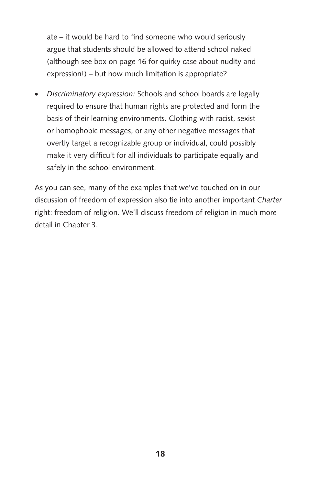ate – it would be hard to find someone who would seriously argue that students should be allowed to attend school naked (although see box on page 16 for quirky case about nudity and expression!) – but how much limitation is appropriate?

• *Discriminatory expression:* Schools and school boards are legally required to ensure that human rights are protected and form the basis of their learning environments. Clothing with racist, sexist or homophobic messages, or any other negative messages that overtly target a recognizable group or individual, could possibly make it very difficult for all individuals to participate equally and safely in the school environment.

As you can see, many of the examples that we've touched on in our discussion of freedom of expression also tie into another important *Charter* right: freedom of religion. We'll discuss freedom of religion in much more detail in Chapter 3.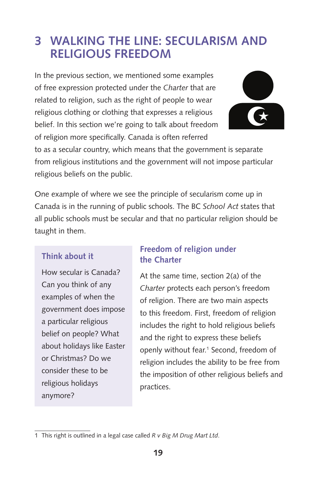## **3 Walking the Line: Secularism and Religious Freedom**

In the previous section, we mentioned some examples of free expression protected under the *Charter* that are related to religion, such as the right of people to wear religious clothing or clothing that expresses a religious belief. In this section we're going to talk about freedom of religion more specifically. Canada is often referred



to as a secular country, which means that the government is separate from religious institutions and the government will not impose particular religious beliefs on the public.

One example of where we see the principle of secularism come up in Canada is in the running of public schools. The BC *School Act* states that all public schools must be secular and that no particular religion should be taught in them.

## **Think about it**

How secular is Canada? Can you think of any examples of when the government does impose a particular religious belief on people? What about holidays like Easter or Christmas? Do we consider these to be religious holidays anymore?

## **Freedom of religion under the Charter**

At the same time, section 2(a) of the *Charter* protects each person's freedom of religion. There are two main aspects to this freedom. First, freedom of religion includes the right to hold religious beliefs and the right to express these beliefs openly without fear.<sup>1</sup> Second, freedom of religion includes the ability to be free from the imposition of other religious beliefs and practices.

<sup>1</sup> This right is outlined in a legal case called *R v Big M Drug Mart Ltd*.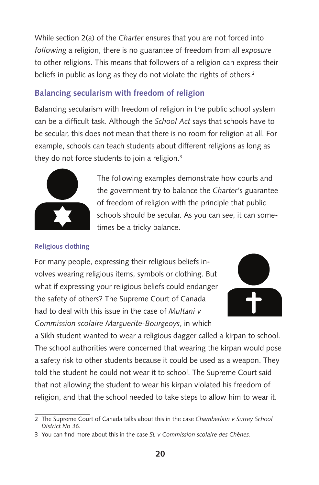While section 2(a) of the *Charter* ensures that you are not forced into *following* a religion, there is no guarantee of freedom from all *exposure* to other religions. This means that followers of a religion can express their beliefs in public as long as they do not violate the rights of others.<sup>2</sup>

## **Balancing secularism with freedom of religion**

Balancing secularism with freedom of religion in the public school system can be a difficult task. Although the *School Act* says that schools have to be secular, this does not mean that there is no room for religion at all. For example, schools can teach students about different religions as long as they do not force students to join a religion. $3$ 



The following examples demonstrate how courts and the government try to balance the *Charter'*s guarantee of freedom of religion with the principle that public schools should be secular. As you can see, it can sometimes be a tricky balance.

## **Religious clothing**

For many people, expressing their religious beliefs involves wearing religious items, symbols or clothing. But what if expressing your religious beliefs could endanger the safety of others? The Supreme Court of Canada had to deal with this issue in the case of *Multani v Commission scolaire Marguerite-Bourgeoys*, in which



a Sikh student wanted to wear a religious dagger called a kirpan to school. The school authorities were concerned that wearing the kirpan would pose a safety risk to other students because it could be used as a weapon. They told the student he could not wear it to school. The Supreme Court said that not allowing the student to wear his kirpan violated his freedom of religion, and that the school needed to take steps to allow him to wear it.

<sup>2</sup> The Supreme Court of Canada talks about this in the case *Chamberlain v Surrey School District No 36*.

<sup>3</sup> You can find more about this in the case *SL v Commission scolaire des Ch*ê*nes*.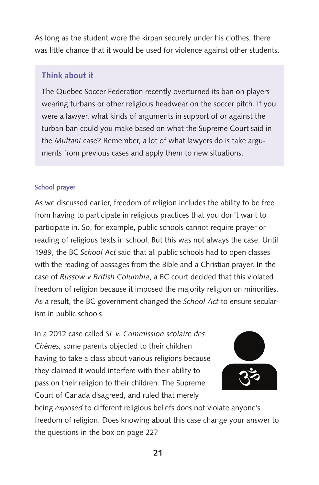As long as the student wore the kirpan securely under his clothes, there was little chance that it would be used for violence against other students.

## **Think about it**

The Quebec Soccer Federation recently overturned its ban on players wearing turbans or other religious headwear on the soccer pitch. If you were a lawyer, what kinds of arguments in support of or against the turban ban could you make based on what the Supreme Court said in the *Multani* case? Remember, a lot of what lawyers do is take arguments from previous cases and apply them to new situations.

#### **School prayer**

As we discussed earlier, freedom of religion includes the ability to be free from having to participate in religious practices that you don't want to participate in. So, for example, public schools cannot require prayer or reading of religious texts in school. But this was not always the case. Until 1989, the BC *School Act* said that all public schools had to open classes with the reading of passages from the Bible and a Christian prayer. In the case of *Russow v British Columbia*, a BC court decided that this violated freedom of religion because it imposed the majority religion on minorities. As a result, the BC government changed the *School Act* to ensure secularism in public schools.

In a 2012 case called *SL v. Commission scolaire des Chênes,* some parents objected to their children having to take a class about various religions because they claimed it would interfere with their ability to pass on their religion to their children. The Supreme Court of Canada disagreed, and ruled that merely



being *exposed* to different religious beliefs does not violate anyone's freedom of religion. Does knowing about this case change your answer to the questions in the box on page 22?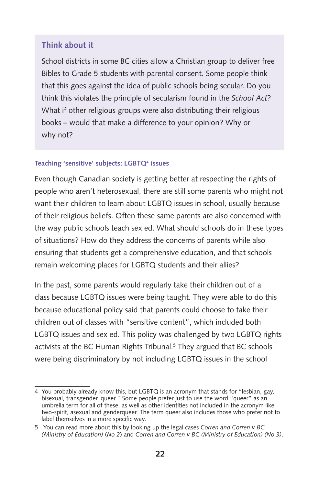#### **Think about it**

School districts in some BC cities allow a Christian group to deliver free Bibles to Grade 5 students with parental consent. Some people think that this goes against the idea of public schools being secular. Do you think this violates the principle of secularism found in the *School Act*? What if other religious groups were also distributing their religious books – would that make a difference to your opinion? Why or why not?

#### **Teaching 'sensitive' subjects: LGBTQ4 issues**

Even though Canadian society is getting better at respecting the rights of people who aren't heterosexual, there are still some parents who might not want their children to learn about LGBTQ issues in school, usually because of their religious beliefs. Often these same parents are also concerned with the way public schools teach sex ed. What should schools do in these types of situations? How do they address the concerns of parents while also ensuring that students get a comprehensive education, and that schools remain welcoming places for LGBTQ students and their allies?

In the past, some parents would regularly take their children out of a class because LGBTQ issues were being taught. They were able to do this because educational policy said that parents could choose to take their children out of classes with "sensitive content", which included both LGBTQ issues and sex ed. This policy was challenged by two LGBTQ rights activists at the BC Human Rights Tribunal.<sup>5</sup> They argued that BC schools were being discriminatory by not including LGBTQ issues in the school

<sup>4</sup> You probably already know this, but LGBTQ is an acronym that stands for "lesbian, gay, bisexual, transgender, queer." Some people prefer just to use the word "queer" as an umbrella term for all of these, as well as other identities not included in the acronym like two-spirit, asexual and genderqueer. The term queer also includes those who prefer not to label themselves in a more specific way.

<sup>5</sup> You can read more about this by looking up the legal cases *Corren and Corren v BC (Ministry of Education)* (*No 2*) and *Corren and Corren v BC (Ministry of Education) (No 3)*.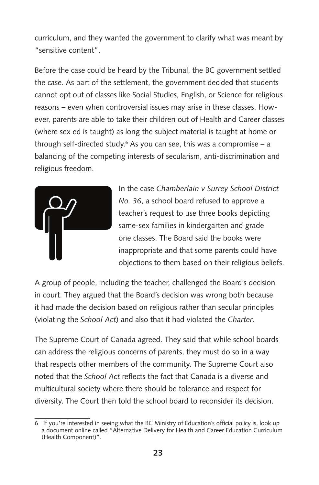curriculum, and they wanted the government to clarify what was meant by "sensitive content".

Before the case could be heard by the Tribunal, the BC government settled the case. As part of the settlement, the government decided that students cannot opt out of classes like Social Studies, English, or Science for religious reasons – even when controversial issues may arise in these classes. However, parents are able to take their children out of Health and Career classes (where sex ed is taught) as long the subject material is taught at home or through self-directed study.<sup>6</sup> As you can see, this was a compromise – a balancing of the competing interests of secularism, anti-discrimination and religious freedom.



In the case *Chamberlain v Surrey School District No. 36*, a school board refused to approve a teacher's request to use three books depicting same-sex families in kindergarten and grade one classes. The Board said the books were inappropriate and that some parents could have objections to them based on their religious beliefs.

A group of people, including the teacher, challenged the Board's decision in court. They argued that the Board's decision was wrong both because it had made the decision based on religious rather than secular principles (violating the *School Act*) and also that it had violated the *Charter*.

The Supreme Court of Canada agreed. They said that while school boards can address the religious concerns of parents, they must do so in a way that respects other members of the community. The Supreme Court also noted that the *School Act* reflects the fact that Canada is a diverse and multicultural society where there should be tolerance and respect for diversity. The Court then told the school board to reconsider its decision.

<sup>6</sup> If you're interested in seeing what the BC Ministry of Education's official policy is, look up a document online called "Alternative Delivery for Health and Career Education Curriculum (Health Component)".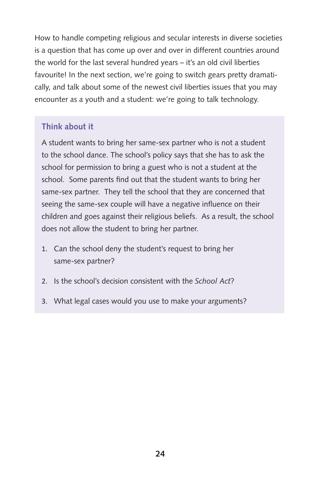How to handle competing religious and secular interests in diverse societies is a question that has come up over and over in different countries around the world for the last several hundred years – it's an old civil liberties favourite! In the next section, we're going to switch gears pretty dramatically, and talk about some of the newest civil liberties issues that you may encounter as a youth and a student: we're going to talk technology.

## **Think about it**

A student wants to bring her same-sex partner who is not a student to the school dance. The school's policy says that she has to ask the school for permission to bring a guest who is not a student at the school. Some parents find out that the student wants to bring her same-sex partner. They tell the school that they are concerned that seeing the same-sex couple will have a negative influence on their children and goes against their religious beliefs. As a result, the school does not allow the student to bring her partner.

- 1. Can the school deny the student's request to bring her same-sex partner?
- 2. Is the school's decision consistent with the *School Act*?
- 3. What legal cases would you use to make your arguments?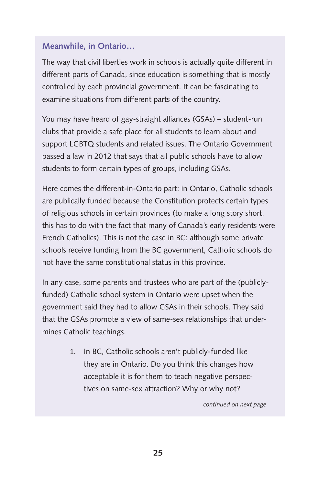## **Meanwhile, in Ontario…**

The way that civil liberties work in schools is actually quite different in different parts of Canada, since education is something that is mostly controlled by each provincial government. It can be fascinating to examine situations from different parts of the country.

You may have heard of gay-straight alliances (GSAs) – student-run clubs that provide a safe place for all students to learn about and support LGBTQ students and related issues. The Ontario Government passed a law in 2012 that says that all public schools have to allow students to form certain types of groups, including GSAs.

Here comes the different-in-Ontario part: in Ontario, Catholic schools are publically funded because the Constitution protects certain types of religious schools in certain provinces (to make a long story short, this has to do with the fact that many of Canada's early residents were French Catholics). This is not the case in BC: although some private schools receive funding from the BC government, Catholic schools do not have the same constitutional status in this province.

In any case, some parents and trustees who are part of the (publiclyfunded) Catholic school system in Ontario were upset when the government said they had to allow GSAs in their schools. They said that the GSAs promote a view of same-sex relationships that undermines Catholic teachings.

> 1. In BC, Catholic schools aren't publicly-funded like they are in Ontario. Do you think this changes how acceptable it is for them to teach negative perspectives on same-sex attraction? Why or why not?

> > *continued on next page*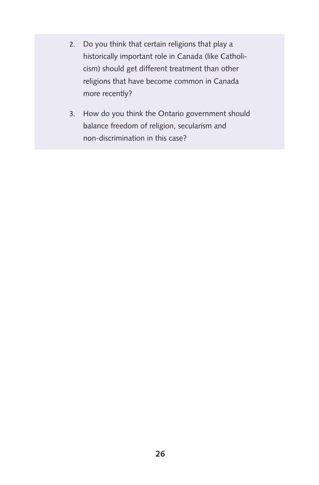- 2. Do you think that certain religions that play a historically important role in Canada (like Catholicism) should get different treatment than other religions that have become common in Canada more recently?
- 3. How do you think the Ontario government should balance freedom of religion, secularism and non-discrimination in this case?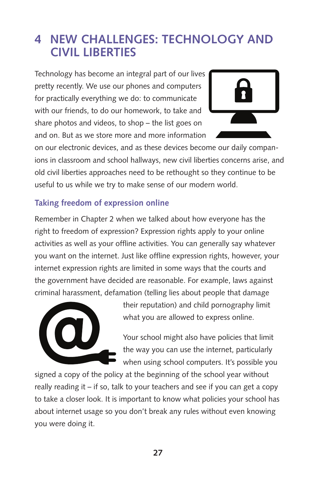## **4 New Challenges: Technology and Civil Liberties**

Technology has become an integral part of our lives pretty recently. We use our phones and computers for practically everything we do: to communicate with our friends, to do our homework, to take and share photos and videos, to shop – the list goes on and on. But as we store more and more information



on our electronic devices, and as these devices become our daily companions in classroom and school hallways, new civil liberties concerns arise, and old civil liberties approaches need to be rethought so they continue to be useful to us while we try to make sense of our modern world.

## **Taking freedom of expression online**

Remember in Chapter 2 when we talked about how everyone has the right to freedom of expression? Expression rights apply to your online activities as well as your offline activities. You can generally say whatever you want on the internet. Just like offline expression rights, however, your internet expression rights are limited in some ways that the courts and the government have decided are reasonable. For example, laws against criminal harassment, defamation (telling lies about people that damage



their reputation) and child pornography limit what you are allowed to express online.

Your school might also have policies that limit the way you can use the internet, particularly when using school computers. It's possible you

signed a copy of the policy at the beginning of the school year without really reading it – if so, talk to your teachers and see if you can get a copy to take a closer look. It is important to know what policies your school has about internet usage so you don't break any rules without even knowing you were doing it.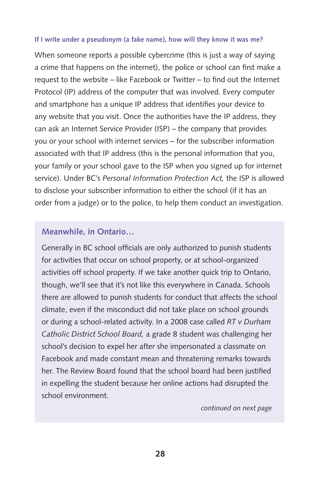#### **If I write under a pseudonym (a fake name), how will they know it was me?**

When someone reports a possible cybercrime (this is just a way of saying a crime that happens on the internet), the police or school can first make a request to the website – like Facebook or Twitter – to find out the Internet Protocol (IP) address of the computer that was involved. Every computer and smartphone has a unique IP address that identifies your device to any website that you visit. Once the authorities have the IP address, they can ask an Internet Service Provider (ISP) – the company that provides you or your school with internet services – for the subscriber information associated with that IP address (this is the personal information that you, your family or your school gave to the ISP when you signed up for internet service). Under BC's *Personal Information Protection Act,* the ISP is allowed to disclose your subscriber information to either the school (if it has an order from a judge) or to the police, to help them conduct an investigation.

#### **Meanwhile, in Ontario…**

Generally in BC school officials are only authorized to punish students for activities that occur on school property, or at school-organized activities off school property. If we take another quick trip to Ontario, though, we'll see that it's not like this everywhere in Canada. Schools there are allowed to punish students for conduct that affects the school climate, even if the misconduct did not take place on school grounds or during a school-related activity. In a 2008 case called *RT v Durham Catholic District School Board,* a grade 8 student was challenging her school's decision to expel her after she impersonated a classmate on Facebook and made constant mean and threatening remarks towards her. The Review Board found that the school board had been justified in expelling the student because her online actions had disrupted the school environment.

*continued on next page*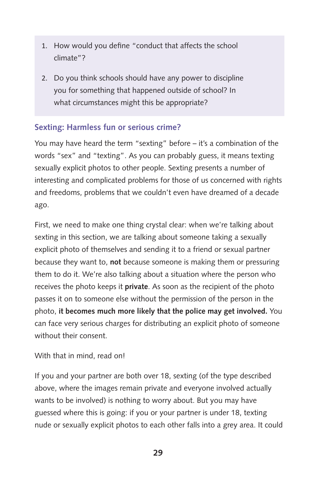- 1. How would you define "conduct that affects the school climate"?
- 2. Do you think schools should have any power to discipline you for something that happened outside of school? In what circumstances might this be appropriate?

## **Sexting: Harmless fun or serious crime?**

You may have heard the term "sexting" before – it's a combination of the words "sex" and "texting". As you can probably guess, it means texting sexually explicit photos to other people. Sexting presents a number of interesting and complicated problems for those of us concerned with rights and freedoms, problems that we couldn't even have dreamed of a decade ago.

First, we need to make one thing crystal clear: when we're talking about sexting in this section, we are talking about someone taking a sexually explicit photo of themselves and sending it to a friend or sexual partner because they want to, **not** because someone is making them or pressuring them to do it. We're also talking about a situation where the person who receives the photo keeps it **private**. As soon as the recipient of the photo passes it on to someone else without the permission of the person in the photo, **it becomes much more likely that the police may get involved.** You can face very serious charges for distributing an explicit photo of someone without their consent.

## With that in mind, read on!

If you and your partner are both over 18, sexting (of the type described above, where the images remain private and everyone involved actually wants to be involved) is nothing to worry about. But you may have guessed where this is going: if you or your partner is under 18, texting nude or sexually explicit photos to each other falls into a grey area. It could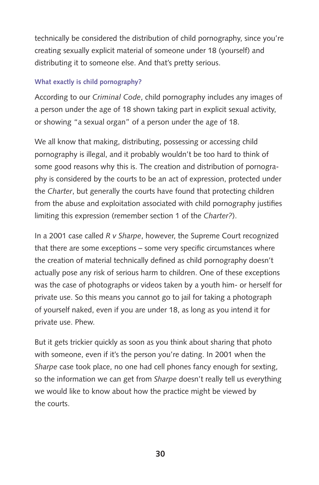technically be considered the distribution of child pornography, since you're creating sexually explicit material of someone under 18 (yourself) and distributing it to someone else. And that's pretty serious.

#### **What exactly is child pornography?**

According to our *Criminal Code*, child pornography includes any images of a person under the age of 18 shown taking part in explicit sexual activity, or showing "a sexual organ" of a person under the age of 18.

We all know that making, distributing, possessing or accessing child pornography is illegal, and it probably wouldn't be too hard to think of some good reasons why this is. The creation and distribution of pornography is considered by the courts to be an act of expression, protected under the *Charter*, but generally the courts have found that protecting children from the abuse and exploitation associated with child pornography justifies limiting this expression (remember section 1 of the *Charter?*).

In a 2001 case called *R v Sharpe*, however, the Supreme Court recognized that there are some exceptions – some very specific circumstances where the creation of material technically defined as child pornography doesn't actually pose any risk of serious harm to children. One of these exceptions was the case of photographs or videos taken by a youth him- or herself for private use. So this means you cannot go to jail for taking a photograph of yourself naked, even if you are under 18, as long as you intend it for private use. Phew.

But it gets trickier quickly as soon as you think about sharing that photo with someone, even if it's the person you're dating. In 2001 when the *Sharpe* case took place, no one had cell phones fancy enough for sexting, so the information we can get from *Sharpe* doesn't really tell us everything we would like to know about how the practice might be viewed by the courts.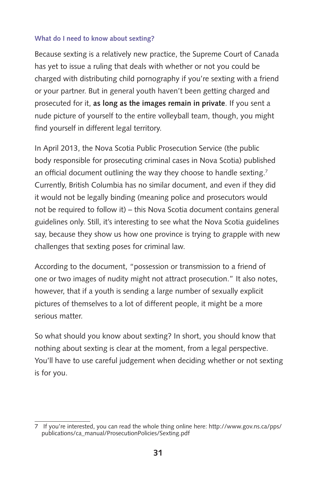#### **What do I need to know about sexting?**

Because sexting is a relatively new practice, the Supreme Court of Canada has yet to issue a ruling that deals with whether or not you could be charged with distributing child pornography if you're sexting with a friend or your partner. But in general youth haven't been getting charged and prosecuted for it, **as long as the images remain in private**. If you sent a nude picture of yourself to the entire volleyball team, though, you might find yourself in different legal territory.

In April 2013, the Nova Scotia Public Prosecution Service (the public body responsible for prosecuting criminal cases in Nova Scotia) published an official document outlining the way they choose to handle sexting.<sup>7</sup> Currently, British Columbia has no similar document, and even if they did it would not be legally binding (meaning police and prosecutors would not be required to follow it) – this Nova Scotia document contains general guidelines only. Still, it's interesting to see what the Nova Scotia guidelines say, because they show us how one province is trying to grapple with new challenges that sexting poses for criminal law.

According to the document, "possession or transmission to a friend of one or two images of nudity might not attract prosecution." It also notes, however, that if a youth is sending a large number of sexually explicit pictures of themselves to a lot of different people, it might be a more serious matter.

So what should you know about sexting? In short, you should know that nothing about sexting is clear at the moment, from a legal perspective. You'll have to use careful judgement when deciding whether or not sexting is for you.

<sup>7</sup> If you're interested, you can read the whole thing online here: [http://www.gov.ns.ca/pps/](http://www.gov.ns.ca/pps/publications/ca_manual/ProsecutionPolicies/Sexting.pdf) [publications/ca\\_manual/ProsecutionPolicies/Sexting.pdf](http://www.gov.ns.ca/pps/publications/ca_manual/ProsecutionPolicies/Sexting.pdf)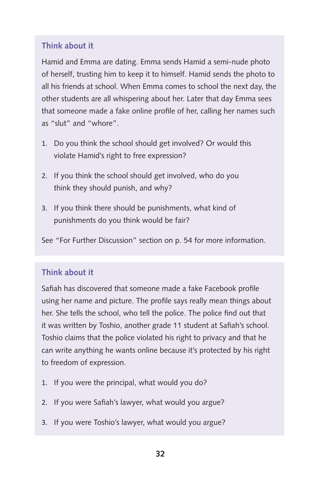## **Think about it**

Hamid and Emma are dating. Emma sends Hamid a semi-nude photo of herself, trusting him to keep it to himself. Hamid sends the photo to all his friends at school. When Emma comes to school the next day, the other students are all whispering about her. Later that day Emma sees that someone made a fake online profile of her, calling her names such as "slut" and "whore".

- 1. Do you think the school should get involved? Or would this violate Hamid's right to free expression?
- 2. If you think the school should get involved, who do you think they should punish, and why?
- 3. If you think there should be punishments, what kind of punishments do you think would be fair?

See "For Further Discussion" section on p. 54 for more information.

## **Think about it**

Safiah has discovered that someone made a fake Facebook profile using her name and picture. The profile says really mean things about her. She tells the school, who tell the police. The police find out that it was written by Toshio, another grade 11 student at Safiah's school. Toshio claims that the police violated his right to privacy and that he can write anything he wants online because it's protected by his right to freedom of expression.

- 1. If you were the principal, what would you do?
- 2. If you were Safiah's lawyer, what would you argue?
- 3. If you were Toshio's lawyer, what would you argue?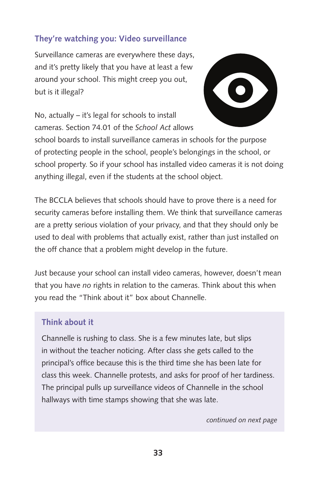## **They're watching you: Video surveillance**

Surveillance cameras are everywhere these days, and it's pretty likely that you have at least a few around your school. This might creep you out, but is it illegal?



No, actually – it's legal for schools to install cameras. Section 74.01 of the *School Act* allows

school boards to install surveillance cameras in schools for the purpose of protecting people in the school, people's belongings in the school, or school property. So if your school has installed video cameras it is not doing anything illegal, even if the students at the school object.

The BCCLA believes that schools should have to prove there is a need for security cameras before installing them. We think that surveillance cameras are a pretty serious violation of your privacy, and that they should only be used to deal with problems that actually exist, rather than just installed on the off chance that a problem might develop in the future.

Just because your school can install video cameras, however, doesn't mean that you have *no* rights in relation to the cameras. Think about this when you read the "Think about it" box about Channelle.

#### **Think about it**

Channelle is rushing to class. She is a few minutes late, but slips in without the teacher noticing. After class she gets called to the principal's office because this is the third time she has been late for class this week. Channelle protests, and asks for proof of her tardiness. The principal pulls up surveillance videos of Channelle in the school hallways with time stamps showing that she was late.

*continued on next page*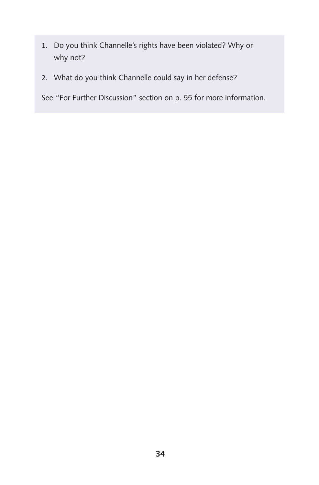- 1. Do you think Channelle's rights have been violated? Why or why not?
- 2. What do you think Channelle could say in her defense?

See "For Further Discussion" section on p. 55 for more information.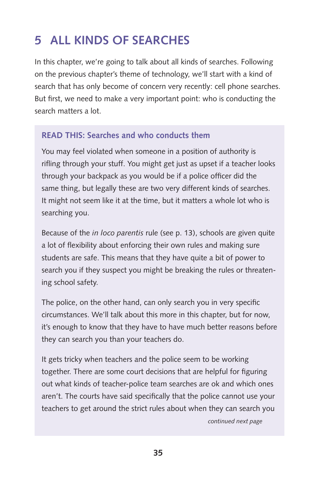## **5 All Kinds of Searches**

In this chapter, we're going to talk about all kinds of searches. Following on the previous chapter's theme of technology, we'll start with a kind of search that has only become of concern very recently: cell phone searches. But first, we need to make a very important point: who is conducting the search matters a lot.

## **READ THIS: Searches and who conducts them**

You may feel violated when someone in a position of authority is rifling through your stuff. You might get just as upset if a teacher looks through your backpack as you would be if a police officer did the same thing, but legally these are two very different kinds of searches. It might not seem like it at the time, but it matters a whole lot who is searching you.

Because of the *in loco parentis* rule (see p. 13), schools are given quite a lot of flexibility about enforcing their own rules and making sure students are safe. This means that they have quite a bit of power to search you if they suspect you might be breaking the rules or threatening school safety.

The police, on the other hand, can only search you in very specific circumstances. We'll talk about this more in this chapter, but for now, it's enough to know that they have to have much better reasons before they can search you than your teachers do.

It gets tricky when teachers and the police seem to be working together. There are some court decisions that are helpful for figuring out what kinds of teacher-police team searches are ok and which ones aren't. The courts have said specifically that the police cannot use your teachers to get around the strict rules about when they can search you *continued next page*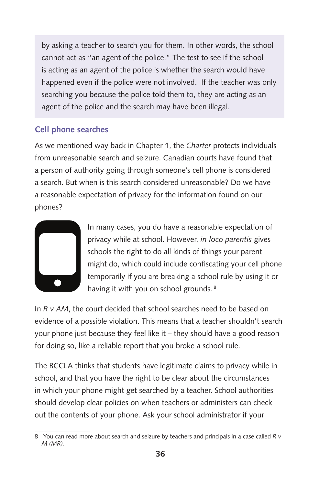by asking a teacher to search you for them. In other words, the school cannot act as "an agent of the police." The test to see if the school is acting as an agent of the police is whether the search would have happened even if the police were not involved. If the teacher was only searching you because the police told them to, they are acting as an agent of the police and the search may have been illegal.

## **Cell phone searches**

As we mentioned way back in Chapter 1, the *Charter* protects individuals from unreasonable search and seizure. Canadian courts have found that a person of authority going through someone's cell phone is considered a search. But when is this search considered unreasonable? Do we have a reasonable expectation of privacy for the information found on our phones?



In many cases, you do have a reasonable expectation of privacy while at school. However, *in loco parentis* gives schools the right to do all kinds of things your parent might do, which could include confiscating your cell phone temporarily if you are breaking a school rule by using it or having it with you on school grounds.<sup>8</sup>

In *R v AM*, the court decided that school searches need to be based on evidence of a possible violation. This means that a teacher shouldn't search your phone just because they feel like it – they should have a good reason for doing so, like a reliable report that you broke a school rule.

The BCCLA thinks that students have legitimate claims to privacy while in school, and that you have the right to be clear about the circumstances in which your phone might get searched by a teacher. School authorities should develop clear policies on when teachers or administers can check out the contents of your phone. Ask your school administrator if your

<sup>8</sup> You can read more about search and seizure by teachers and principals in a case called *R v M (MR).*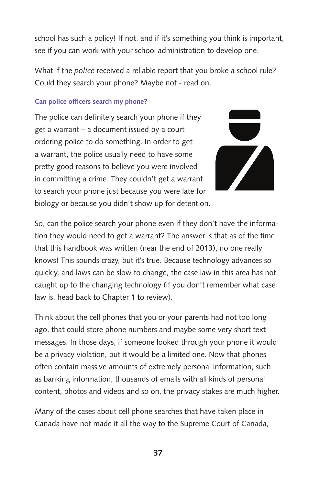school has such a policy! If not, and if it's something you think is important, see if you can work with your school administration to develop one.

What if the *police* received a reliable report that you broke a school rule? Could they search your phone? Maybe not - read on.

#### **Can police officers search my phone?**

The police can definitely search your phone if they get a warrant – a document issued by a court ordering police to do something. In order to get a warrant, the police usually need to have some pretty good reasons to believe you were involved in committing a crime. They couldn't get a warrant to search your phone just because you were late for biology or because you didn't show up for detention.



So, can the police search your phone even if they don't have the information they would need to get a warrant? The answer is that as of the time that this handbook was written (near the end of 2013), no one really knows! This sounds crazy, but it's true. Because technology advances so quickly, and laws can be slow to change, the case law in this area has not caught up to the changing technology (if you don't remember what case law is, head back to Chapter 1 to review).

Think about the cell phones that you or your parents had not too long ago, that could store phone numbers and maybe some very short text messages. In those days, if someone looked through your phone it would be a privacy violation, but it would be a limited one. Now that phones often contain massive amounts of extremely personal information, such as banking information, thousands of emails with all kinds of personal content, photos and videos and so on, the privacy stakes are much higher.

Many of the cases about cell phone searches that have taken place in Canada have not made it all the way to the Supreme Court of Canada,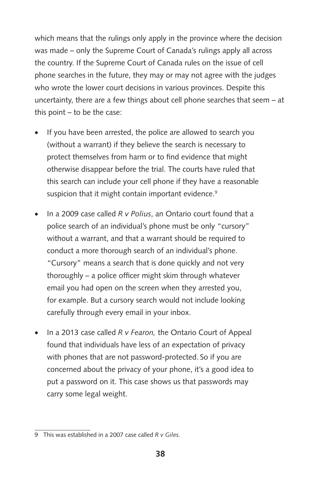which means that the rulings only apply in the province where the decision was made – only the Supreme Court of Canada's rulings apply all across the country. If the Supreme Court of Canada rules on the issue of cell phone searches in the future, they may or may not agree with the judges who wrote the lower court decisions in various provinces. Despite this uncertainty, there are a few things about cell phone searches that seem – at this point – to be the case:

- If you have been arrested, the police are allowed to search you (without a warrant) if they believe the search is necessary to protect themselves from harm or to find evidence that might otherwise disappear before the trial. The courts have ruled that this search can include your cell phone if they have a reasonable suspicion that it might contain important evidence.<sup>9</sup>
- In a 2009 case called *R v Polius*, an Ontario court found that a police search of an individual's phone must be only "cursory" without a warrant, and that a warrant should be required to conduct a more thorough search of an individual's phone. "Cursory" means a search that is done quickly and not very thoroughly – a police officer might skim through whatever email you had open on the screen when they arrested you, for example. But a cursory search would not include looking carefully through every email in your inbox.
- In a 2013 case called *R v Fearon*, the Ontario Court of Appeal found that individuals have less of an expectation of privacy with phones that are not password-protected. So if you are concerned about the privacy of your phone, it's a good idea to put a password on it. This case shows us that passwords may carry some legal weight.

<sup>9</sup> This was established in a 2007 case called *R v Giles*.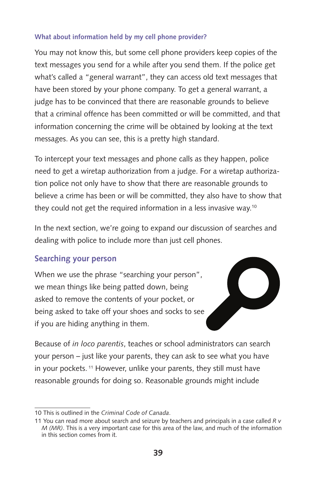#### **What about information held by my cell phone provider?**

You may not know this, but some cell phone providers keep copies of the text messages you send for a while after you send them. If the police get what's called a "general warrant", they can access old text messages that have been stored by your phone company. To get a general warrant, a judge has to be convinced that there are reasonable grounds to believe that a criminal offence has been committed or will be committed, and that information concerning the crime will be obtained by looking at the text messages. As you can see, this is a pretty high standard.

To intercept your text messages and phone calls as they happen, police need to get a wiretap authorization from a judge. For a wiretap authorization police not only have to show that there are reasonable grounds to believe a crime has been or will be committed, they also have to show that they could not get the required information in a less invasive way.10

In the next section, we're going to expand our discussion of searches and dealing with police to include more than just cell phones.

## **Searching your person**

When we use the phrase "searching your person", we mean things like being patted down, being asked to remove the contents of your pocket, or being asked to take off your shoes and socks to see if you are hiding anything in them.



Because of *in loco parentis*, teaches or school administrators can search your person – just like your parents, they can ask to see what you have in your pockets. <sup>11</sup> However, unlike your parents, they still must have reasonable grounds for doing so. Reasonable grounds might include

<sup>10</sup> This is outlined in the *Criminal Code of Canada*.

<sup>11</sup> You can read more about search and seizure by teachers and principals in a case called *R v M (MR)*. This is a very important case for this area of the law, and much of the information in this section comes from it.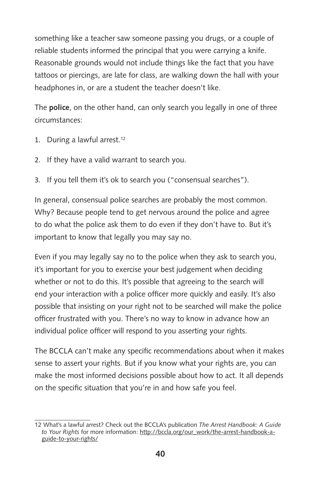something like a teacher saw someone passing you drugs, or a couple of reliable students informed the principal that you were carrying a knife. Reasonable grounds would not include things like the fact that you have tattoos or piercings, are late for class, are walking down the hall with your headphones in, or are a student the teacher doesn't like.

The **police**, on the other hand, can only search you legally in one of three circumstances:

- 1. During a lawful arrest.<sup>12</sup>
- 2. If they have a valid warrant to search you.
- 3. If you tell them it's ok to search you ("consensual searches").

In general, consensual police searches are probably the most common. Why? Because people tend to get nervous around the police and agree to do what the police ask them to do even if they don't have to. But it's important to know that legally you may say no.

Even if you may legally say no to the police when they ask to search you, it's important for you to exercise your best judgement when deciding whether or not to do this. It's possible that agreeing to the search will end your interaction with a police officer more quickly and easily. It's also possible that insisting on your right not to be searched will make the police officer frustrated with you. There's no way to know in advance how an individual police officer will respond to you asserting your rights.

The BCCLA can't make any specific recommendations about when it makes sense to assert your rights. But if you know what your rights are, you can make the most informed decisions possible about how to act. It all depends on the specific situation that you're in and how safe you feel.

<sup>12</sup> What's a lawful arrest? Check out the BCCLA's publication *The Arrest Handbook: A Guide to Your Rights* for more information: [http://bccla.org/our\\_work/the-arrest-handbook-a](http://bccla.org/our_work/the-arrest-handbook-a-guide-to-your-rights/)[guide-to-your-rights/](http://bccla.org/our_work/the-arrest-handbook-a-guide-to-your-rights/)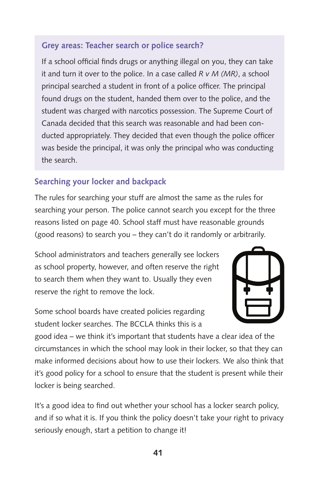## **Grey areas: Teacher search or police search?**

If a school official finds drugs or anything illegal on you, they can take it and turn it over to the police. In a case called *R v M (MR)*, a school principal searched a student in front of a police officer. The principal found drugs on the student, handed them over to the police, and the student was charged with narcotics possession. The Supreme Court of Canada decided that this search was reasonable and had been conducted appropriately. They decided that even though the police officer was beside the principal, it was only the principal who was conducting the search.

## **Searching your locker and backpack**

The rules for searching your stuff are almost the same as the rules for searching your person. The police cannot search you except for the three reasons listed on page 40. School staff must have reasonable grounds (good reasons) to search you – they can't do it randomly or arbitrarily.

School administrators and teachers generally see lockers as school property, however, and often reserve the right to search them when they want to. Usually they even reserve the right to remove the lock.

Some school boards have created policies regarding student locker searches. The BCCLA thinks this is a



good idea – we think it's important that students have a clear idea of the circumstances in which the school may look in their locker, so that they can make informed decisions about how to use their lockers. We also think that it's good policy for a school to ensure that the student is present while their locker is being searched.

It's a good idea to find out whether your school has a locker search policy, and if so what it is. If you think the policy doesn't take your right to privacy seriously enough, start a petition to change it!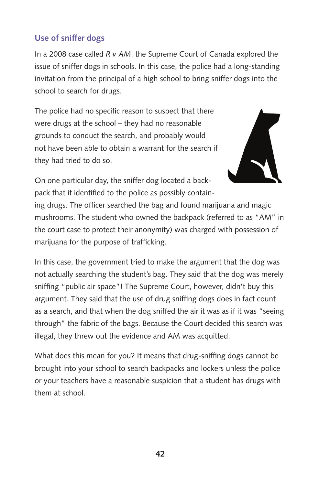## **Use of sniffer dogs**

In a 2008 case called *R v AM*, the Supreme Court of Canada explored the issue of sniffer dogs in schools. In this case, the police had a long-standing invitation from the principal of a high school to bring sniffer dogs into the school to search for drugs.

The police had no specific reason to suspect that there were drugs at the school – they had no reasonable grounds to conduct the search, and probably would not have been able to obtain a warrant for the search if they had tried to do so.



On one particular day, the sniffer dog located a backpack that it identified to the police as possibly contain-

ing drugs. The officer searched the bag and found marijuana and magic mushrooms. The student who owned the backpack (referred to as "AM" in the court case to protect their anonymity) was charged with possession of marijuana for the purpose of trafficking.

In this case, the government tried to make the argument that the dog was not actually searching the student's bag. They said that the dog was merely sniffing "public air space"! The Supreme Court, however, didn't buy this argument. They said that the use of drug sniffing dogs does in fact count as a search, and that when the dog sniffed the air it was as if it was "seeing through" the fabric of the bags. Because the Court decided this search was illegal, they threw out the evidence and AM was acquitted.

What does this mean for you? It means that drug-sniffing dogs cannot be brought into your school to search backpacks and lockers unless the police or your teachers have a reasonable suspicion that a student has drugs with them at school.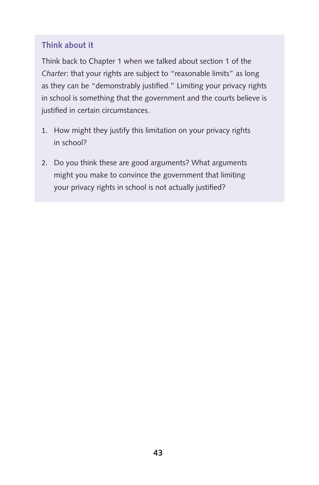## **Think about it**

Think back to Chapter 1 when we talked about section 1 of the *Charter*: that your rights are subject to "reasonable limits" as long as they can be "demonstrably justified." Limiting your privacy rights in school is something that the government and the courts believe is justified in certain circumstances.

- 1. How might they justify this limitation on your privacy rights in school?
- 2. Do you think these are good arguments? What arguments might you make to convince the government that limiting your privacy rights in school is not actually justified?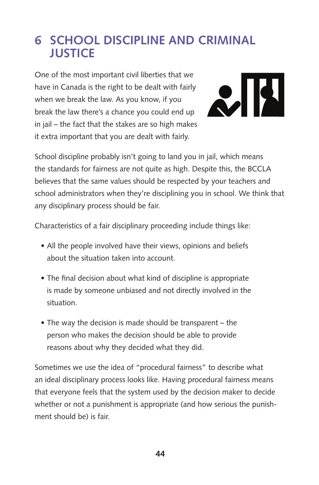## **6 School Discipline and Criminal Justice**

One of the most important civil liberties that we have in Canada is the right to be dealt with fairly when we break the law. As you know, if you break the law there's a chance you could end up in jail – the fact that the stakes are so high makes it extra important that you are dealt with fairly.



School discipline probably isn't going to land you in jail, which means the standards for fairness are not quite as high. Despite this, the BCCLA believes that the same values should be respected by your teachers and school administrators when they're disciplining you in school. We think that any disciplinary process should be fair.

Characteristics of a fair disciplinary proceeding include things like:

- All the people involved have their views, opinions and beliefs about the situation taken into account.
- The final decision about what kind of discipline is appropriate is made by someone unbiased and not directly involved in the situation.
- The way the decision is made should be transparent the person who makes the decision should be able to provide reasons about why they decided what they did.

Sometimes we use the idea of "procedural fairness" to describe what an ideal disciplinary process looks like. Having procedural fairness means that everyone feels that the system used by the decision maker to decide whether or not a punishment is appropriate (and how serious the punishment should be) is fair.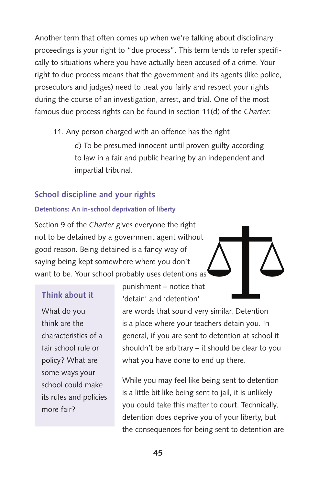Another term that often comes up when we're talking about disciplinary proceedings is your right to "due process". This term tends to refer specifically to situations where you have actually been accused of a crime. Your right to due process means that the government and its agents (like police, prosecutors and judges) need to treat you fairly and respect your rights during the course of an investigation, arrest, and trial. One of the most famous due process rights can be found in section 11(d) of the *Charter:*

11. Any person charged with an offence has the right

d) To be presumed innocent until proven guilty according to law in a fair and public hearing by an independent and impartial tribunal.

## **School discipline and your rights**

#### **Detentions: An in-school deprivation of liberty**

Section 9 of the *Charter* gives everyone the right not to be detained by a government agent without good reason. Being detained is a fancy way of saying being kept somewhere where you don't want to be. Your school probably uses detentions as

## **Think about it**

What do you think are the characteristics of a fair school rule or policy? What are some ways your school could make its rules and policies more fair?

punishment – notice that 'detain' and 'detention'

are words that sound very similar. Detention is a place where your teachers detain you. In general, if you are sent to detention at school it shouldn't be arbitrary – it should be clear to you what you have done to end up there.

While you may feel like being sent to detention is a little bit like being sent to jail, it is unlikely you could take this matter to court. Technically, detention does deprive you of your liberty, but the consequences for being sent to detention are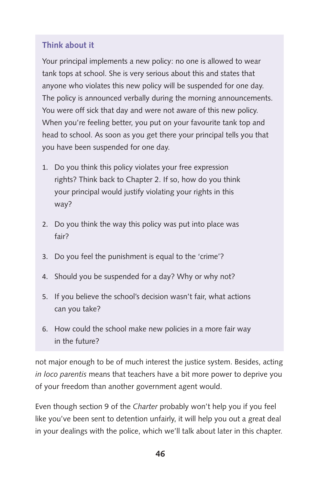## **Think about it**

Your principal implements a new policy: no one is allowed to wear tank tops at school. She is very serious about this and states that anyone who violates this new policy will be suspended for one day. The policy is announced verbally during the morning announcements. You were off sick that day and were not aware of this new policy. When you're feeling better, you put on your favourite tank top and head to school. As soon as you get there your principal tells you that you have been suspended for one day.

- 1. Do you think this policy violates your free expression rights? Think back to Chapter 2. If so, how do you think your principal would justify violating your rights in this way?
- 2. Do you think the way this policy was put into place was fair?
- 3. Do you feel the punishment is equal to the 'crime'?
- 4. Should you be suspended for a day? Why or why not?
- 5. If you believe the school's decision wasn't fair, what actions can you take?
- 6. How could the school make new policies in a more fair way in the future?

not major enough to be of much interest the justice system. Besides, acting *in loco parentis* means that teachers have a bit more power to deprive you of your freedom than another government agent would.

Even though section 9 of the *Charter* probably won't help you if you feel like you've been sent to detention unfairly, it will help you out a great deal in your dealings with the police, which we'll talk about later in this chapter.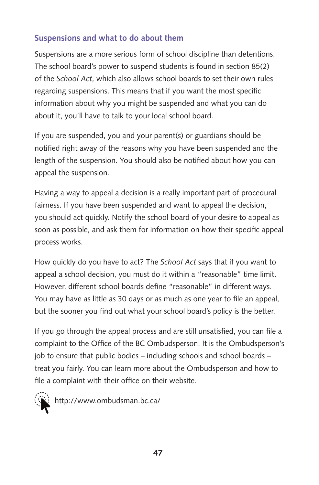## **Suspensions and what to do about them**

Suspensions are a more serious form of school discipline than detentions. The school board's power to suspend students is found in section 85(2) of the *School Act*, which also allows school boards to set their own rules regarding suspensions. This means that if you want the most specific information about why you might be suspended and what you can do about it, you'll have to talk to your local school board.

If you are suspended, you and your parent(s) or guardians should be notified right away of the reasons why you have been suspended and the length of the suspension. You should also be notified about how you can appeal the suspension.

Having a way to appeal a decision is a really important part of procedural fairness. If you have been suspended and want to appeal the decision, you should act quickly. Notify the school board of your desire to appeal as soon as possible, and ask them for information on how their specific appeal process works.

How quickly do you have to act? The *School Act* says that if you want to appeal a school decision, you must do it within a "reasonable" time limit. However, different school boards define "reasonable" in different ways. You may have as little as 30 days or as much as one year to file an appeal, but the sooner you find out what your school board's policy is the better.

If you go through the appeal process and are still unsatisfied, you can file a complaint to the Office of the BC Ombudsperson. It is the Ombudsperson's job to ensure that public bodies – including schools and school boards – treat you fairly. You can learn more about the Ombudsperson and how to file a complaint with their office on their website.

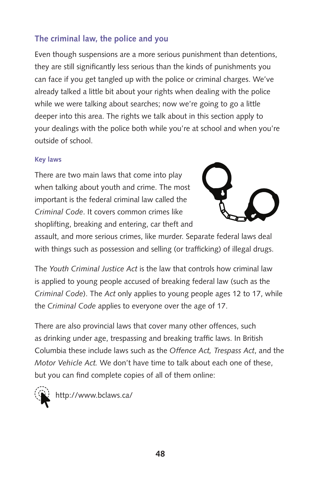## **The criminal law, the police and you**

Even though suspensions are a more serious punishment than detentions, they are still significantly less serious than the kinds of punishments you can face if you get tangled up with the police or criminal charges. We've already talked a little bit about your rights when dealing with the police while we were talking about searches; now we're going to go a little deeper into this area. The rights we talk about in this section apply to your dealings with the police both while you're at school and when you're outside of school.

#### **Key laws**

There are two main laws that come into play when talking about youth and crime. The most important is the federal criminal law called the *Criminal Code*. It covers common crimes like shoplifting, breaking and entering, car theft and



assault, and more serious crimes, like murder. Separate federal laws deal with things such as possession and selling (or trafficking) of illegal drugs.

The *Youth Criminal Justice Act* is the law that controls how criminal law is applied to young people accused of breaking federal law (such as the *Criminal Code*). The *Act* only applies to young people ages 12 to 17, while the *Criminal Code* applies to everyone over the age of 17.

There are also provincial laws that cover many other offences, such as drinking under age, trespassing and breaking traffic laws. In British Columbia these include laws such as the *Offence Act, Trespass Act*, and the *Motor Vehicle Act.* We don't have time to talk about each one of these, but you can find complete copies of all of them online:

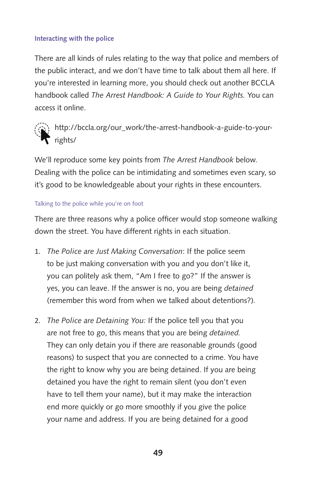#### **Interacting with the police**

There are all kinds of rules relating to the way that police and members of the public interact, and we don't have time to talk about them all here. If you're interested in learning more, you should check out another BCCLA handbook called *The Arrest Handbook: A Guide to Your Rights.* You can access it online.



[http://bccla.org/our\\_work/the-arrest-handbook-a-guide-to-your-](http://bccla.org/our_work/the-arrest-handbook-a-guide-to-your-rights/) $\Gamma$  [rights/](http://bccla.org/our_work/the-arrest-handbook-a-guide-to-your-rights/)

We'll reproduce some key points from *The Arrest Handbook* below. Dealing with the police can be intimidating and sometimes even scary, so it's good to be knowledgeable about your rights in these encounters.

#### Talking to the police while you're on foot

There are three reasons why a police officer would stop someone walking down the street. You have different rights in each situation.

- 1. *The Police are Just Making Conversation*: If the police seem to be just making conversation with you and you don't like it, you can politely ask them, "Am I free to go?" If the answer is yes, you can leave. If the answer is no, you are being *detained*  (remember this word from when we talked about detentions?)*.*
- 2. *The Police are Detaining You:* If the police tell you that you are not free to go, this means that you are being *detained.* They can only detain you if there are reasonable grounds (good reasons) to suspect that you are connected to a crime. You have the right to know why you are being detained. If you are being detained you have the right to remain silent (you don't even have to tell them your name), but it may make the interaction end more quickly or go more smoothly if you give the police your name and address. If you are being detained for a good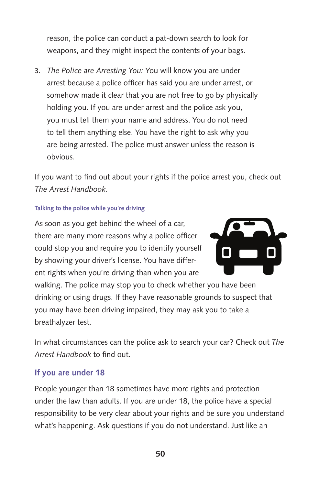reason, the police can conduct a pat-down search to look for weapons, and they might inspect the contents of your bags.

3. *The Police are Arresting You:* You will know you are under arrest because a police officer has said you are under arrest, or somehow made it clear that you are not free to go by physically holding you. If you are under arrest and the police ask you, you must tell them your name and address. You do not need to tell them anything else. You have the right to ask why you are being arrested. The police must answer unless the reason is obvious.

If you want to find out about your rights if the police arrest you, check out *The Arrest Handbook.*

#### **Talking to the police while you're driving**

As soon as you get behind the wheel of a car, there are many more reasons why a police officer could stop you and require you to identify yourself by showing your driver's license. You have different rights when you're driving than when you are



walking. The police may stop you to check whether you have been drinking or using drugs. If they have reasonable grounds to suspect that you may have been driving impaired, they may ask you to take a breathalyzer test.

In what circumstances can the police ask to search your car? Check out *The Arrest Handbook* to find out.

#### **If you are under 18**

People younger than 18 sometimes have more rights and protection under the law than adults. If you are under 18, the police have a special responsibility to be very clear about your rights and be sure you understand what's happening. Ask questions if you do not understand. Just like an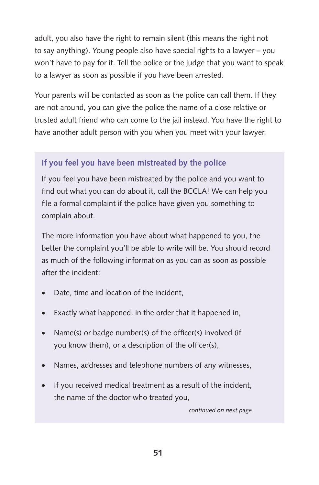adult, you also have the right to remain silent (this means the right not to say anything). Young people also have special rights to a lawyer – you won't have to pay for it. Tell the police or the judge that you want to speak to a lawyer as soon as possible if you have been arrested.

Your parents will be contacted as soon as the police can call them. If they are not around, you can give the police the name of a close relative or trusted adult friend who can come to the jail instead. You have the right to have another adult person with you when you meet with your lawyer.

## **If you feel you have been mistreated by the police**

If you feel you have been mistreated by the police and you want to find out what you can do about it, call the BCCLA! We can help you file a formal complaint if the police have given you something to complain about.

The more information you have about what happened to you, the better the complaint you'll be able to write will be. You should record as much of the following information as you can as soon as possible after the incident:

- Date, time and location of the incident,
- Exactly what happened, in the order that it happened in,
- Name(s) or badge number(s) of the officer(s) involved (if you know them), or a description of the officer(s),
- Names, addresses and telephone numbers of any witnesses,
- If you received medical treatment as a result of the incident, the name of the doctor who treated you,

*continued on next page*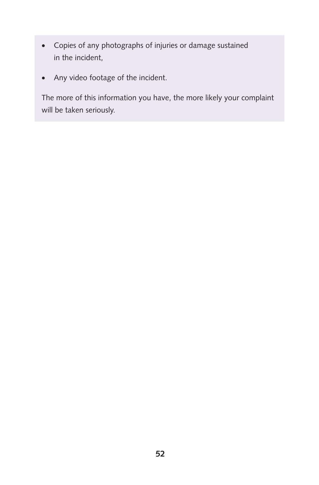- • Copies of any photographs of injuries or damage sustained in the incident,
- • Any video footage of the incident.

The more of this information you have, the more likely your complaint will be taken seriously.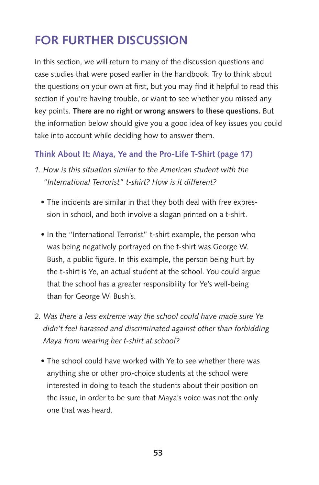## **For Further Discussion**

In this section, we will return to many of the discussion questions and case studies that were posed earlier in the handbook. Try to think about the questions on your own at first, but you may find it helpful to read this section if you're having trouble, or want to see whether you missed any key points. **There are no right or wrong answers to these questions.** But the information below should give you a good idea of key issues you could take into account while deciding how to answer them.

## **Think About It: Maya, Ye and the Pro-Life T-Shirt (page 17)**

- *1. How is this situation similar to the American student with the "International Terrorist" t-shirt? How is it different?*
	- The incidents are similar in that they both deal with free expression in school, and both involve a slogan printed on a t-shirt.
	- In the "International Terrorist" t-shirt example, the person who was being negatively portrayed on the t-shirt was George W. Bush, a public figure. In this example, the person being hurt by the t-shirt is Ye, an actual student at the school. You could argue that the school has a greater responsibility for Ye's well-being than for George W. Bush's.
- *2. Was there a less extreme way the school could have made sure Ye didn't feel harassed and discriminated against other than forbidding Maya from wearing her t-shirt at school?*
	- The school could have worked with Ye to see whether there was anything she or other pro-choice students at the school were interested in doing to teach the students about their position on the issue, in order to be sure that Maya's voice was not the only one that was heard.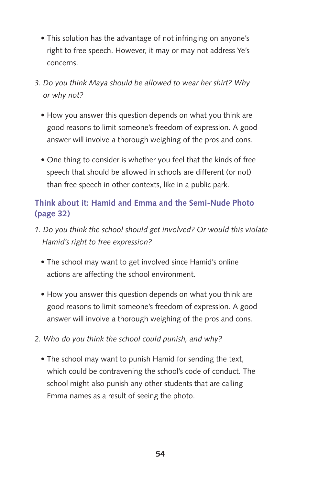- This solution has the advantage of not infringing on anyone's right to free speech. However, it may or may not address Ye's concerns.
- *3. Do you think Maya should be allowed to wear her shirt? Why or why not?*
	- How you answer this question depends on what you think are good reasons to limit someone's freedom of expression. A good answer will involve a thorough weighing of the pros and cons.
	- One thing to consider is whether you feel that the kinds of free speech that should be allowed in schools are different (or not) than free speech in other contexts, like in a public park.

## **Think about it: Hamid and Emma and the Semi-Nude Photo (page 32)**

- *1. Do you think the school should get involved? Or would this violate Hamid's right to free expression?*
	- The school may want to get involved since Hamid's online actions are affecting the school environment.
	- How you answer this question depends on what you think are good reasons to limit someone's freedom of expression. A good answer will involve a thorough weighing of the pros and cons.
- *2. Who do you think the school could punish, and why?*
	- The school may want to punish Hamid for sending the text, which could be contravening the school's code of conduct. The school might also punish any other students that are calling Emma names as a result of seeing the photo.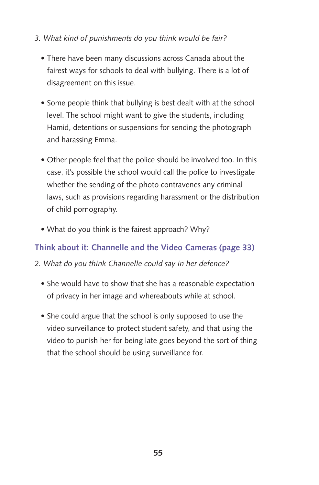- *3. What kind of punishments do you think would be fair?*
	- There have been many discussions across Canada about the fairest ways for schools to deal with bullying. There is a lot of disagreement on this issue.
	- Some people think that bullying is best dealt with at the school level. The school might want to give the students, including Hamid, detentions or suspensions for sending the photograph and harassing Emma.
	- Other people feel that the police should be involved too. In this case, it's possible the school would call the police to investigate whether the sending of the photo contravenes any criminal laws, such as provisions regarding harassment or the distribution of child pornography.
	- What do you think is the fairest approach? Why?

## **Think about it: Channelle and the Video Cameras (page 33)**

- *2. What do you think Channelle could say in her defence?* 
	- She would have to show that she has a reasonable expectation of privacy in her image and whereabouts while at school.
	- She could argue that the school is only supposed to use the video surveillance to protect student safety, and that using the video to punish her for being late goes beyond the sort of thing that the school should be using surveillance for.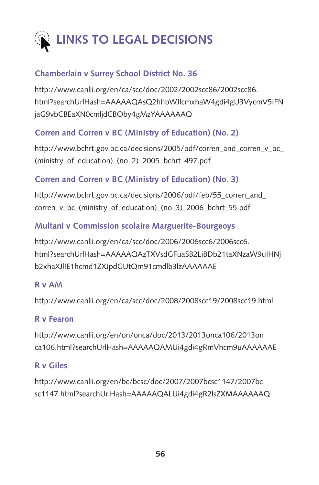

## **[Chamberlain v Surrey School District No. 36](http://www.canlii.org/en/ca/scc/doc/2002/2002scc86/2002scc86.html?searchUrlHash=AAAAAQAsQ2hhbWJlcmxhaW4gdi4gU3VycmV5IFNjaG9vbCBEaXN0cmljdCBOby4gMzYAAAAAAQ)**

[http://www.canlii.org/en/ca/scc/doc/2002/2002scc86/2002scc86.](http://www.canlii.org/en/ca/scc/doc/2002/2002scc86/2002scc86.html?searchUrlHash=AAAAAQAsQ2hhbWJlcmxhaW4gdi4gU3VycmV5IFNjaG9vbCBEaXN0cmljdCBOby4gMzYAAAAAAQ) [html?searchUrlHash=AAAAAQAsQ2hhbWJlcmxhaW4gdi4gU3VycmV5IFN](http://www.canlii.org/en/ca/scc/doc/2002/2002scc86/2002scc86.html?searchUrlHash=AAAAAQAsQ2hhbWJlcmxhaW4gdi4gU3VycmV5IFNjaG9vbCBEaXN0cmljdCBOby4gMzYAAAAAAQ) [jaG9vbCBEaXN0cmljdCBOby4gMzYAAAAAAQ](http://www.canlii.org/en/ca/scc/doc/2002/2002scc86/2002scc86.html?searchUrlHash=AAAAAQAsQ2hhbWJlcmxhaW4gdi4gU3VycmV5IFNjaG9vbCBEaXN0cmljdCBOby4gMzYAAAAAAQ)

## **[Corren and Corren v BC \(Ministry of Education\) \(No. 2\)](http://www.bchrt.gov.bc.ca/decisions/2005/pdf/corren_and_corren_v_bc_(ministry_of_education)_(no_2)_2005_bchrt_497.pdf)**

http://www.bchrt.gov.bc.ca/decisions/2005/pdf/corren\_and\_corren\_v\_bc [\(ministry\\_of\\_education\)\\_\(no\\_2\)\\_2005\\_bchrt\\_497.pdf](http://www.bchrt.gov.bc.ca/decisions/2005/pdf/corren_and_corren_v_bc_(ministry_of_education)_(no_2)_2005_bchrt_497.pdf)

## **[Corren and Corren v BC \(Ministry of Education\) \(No. 3\)](http://www.bchrt.gov.bc.ca/decisions/2006/pdf/feb/55_corren_and_corren_v_bc_(ministry_of_education)_(no_3)_2006_bchrt_55.pdf)**

[http://www.bchrt.gov.bc.ca/decisions/2006/pdf/feb/55\\_corren\\_and\\_](http://www.bchrt.gov.bc.ca/decisions/2006/pdf/feb/55_corren_and_corren_v_bc_(ministry_of_education)_(no_3)_2006_bchrt_55.pdf) [corren\\_v\\_bc\\_\(ministry\\_of\\_education\)\\_\(no\\_3\)\\_2006\\_bchrt\\_55.pdf](http://www.bchrt.gov.bc.ca/decisions/2006/pdf/feb/55_corren_and_corren_v_bc_(ministry_of_education)_(no_3)_2006_bchrt_55.pdf)

## **[Multani v Commission scolaire Marguerite-Bourgeoys](http://www.canlii.org/en/ca/scc/doc/2006/2006scc6/2006scc6.html?searchUrlHash=AAAAAQAzTXVsdGFuaSB2LiBDb21taXNzaW9uIHNjb2xhaXJlIE1hcmd1ZXJpdGUtQm91cmdlb3lzAAAAAAE)**

[http://www.canlii.org/en/ca/scc/doc/2006/2006scc6/2006scc6.](http://www.canlii.org/en/ca/scc/doc/2006/2006scc6/2006scc6.html?searchUrlHash=AAAAAQAzTXVsdGFuaSB2LiBDb21taXNzaW9uIHNjb2xhaXJlIE1hcmd1ZXJpdGUtQm91cmdlb3lzAAAAAAE) [html?searchUrlHash=AAAAAQAzTXVsdGFuaSB2LiBDb21taXNzaW9uIHNj](http://www.canlii.org/en/ca/scc/doc/2006/2006scc6/2006scc6.html?searchUrlHash=AAAAAQAzTXVsdGFuaSB2LiBDb21taXNzaW9uIHNjb2xhaXJlIE1hcmd1ZXJpdGUtQm91cmdlb3lzAAAAAAE) [b2xhaXJlIE1hcmd1ZXJpdGUtQm91cmdlb3lzAAAAAAE](http://www.canlii.org/en/ca/scc/doc/2006/2006scc6/2006scc6.html?searchUrlHash=AAAAAQAzTXVsdGFuaSB2LiBDb21taXNzaW9uIHNjb2xhaXJlIE1hcmd1ZXJpdGUtQm91cmdlb3lzAAAAAAE)

## **[R v AM](http://www.canlii.org/en/ca/scc/doc/2008/2008scc19/2008scc19.html)**

<http://www.canlii.org/en/ca/scc/doc/2008/2008scc19/2008scc19.html>

## **[R v Fearon](http://www.canlii.org/en/on/onca/doc/2013/2013onca106/2013onca106.html?searchUrlHash=AAAAAQAMUi4gdi4gRmVhcm9uAAAAAAE)**

[http://www.canlii.org/en/on/onca/doc/2013/2013onca106/2013on](http://www.canlii.org/en/on/onca/doc/2013/2013onca106/2013onca106.html?searchUrlHash=AAAAAQAMUi4gdi4gRmVhcm9uAAAAAAE) [ca106.html?searchUrlHash=AAAAAQAMUi4gdi4gRmVhcm9uAAAAAAE](http://www.canlii.org/en/on/onca/doc/2013/2013onca106/2013onca106.html?searchUrlHash=AAAAAQAMUi4gdi4gRmVhcm9uAAAAAAE)

## **[R v Giles](http://www.canlii.org/en/bc/bcsc/doc/2007/2007bcsc1147/2007bcsc1147.html?searchUrlHash=AAAAAQALUi4gdi4gR2lsZXMAAAAAAQ)**

[http://www.canlii.org/en/bc/bcsc/doc/2007/2007bcsc1147/2007bc](http://www.canlii.org/en/bc/bcsc/doc/2007/2007bcsc1147/2007bcsc1147.html?searchUrlHash=AAAAAQALUi4gdi4gR2lsZXMAAAAAAQ) [sc1147.html?searchUrlHash=AAAAAQALUi4gdi4gR2lsZXMAAAAAAQ](http://www.canlii.org/en/bc/bcsc/doc/2007/2007bcsc1147/2007bcsc1147.html?searchUrlHash=AAAAAQALUi4gdi4gR2lsZXMAAAAAAQ)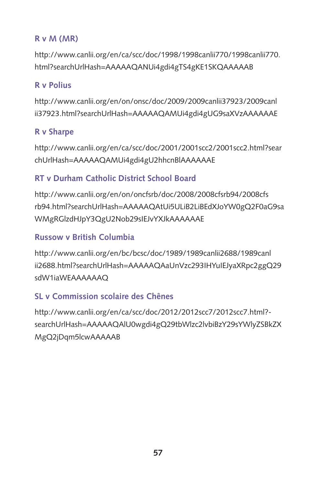## **[R v M \(MR\)](http://www.canlii.org/en/ca/scc/doc/1998/1998canlii770/1998canlii770.html?searchUrlHash=AAAAAQANUi4gdi4gTS4gKE1SKQAAAAAB)**

[http://www.canlii.org/en/ca/scc/doc/1998/1998canlii770/1998canlii770.](http://www.canlii.org/en/ca/scc/doc/1998/1998canlii770/1998canlii770.html?searchUrlHash=AAAAAQANUi4gdi4gTS4gKE1SKQAAAAAB) [html?searchUrlHash=AAAAAQANUi4gdi4gTS4gKE1SKQAAAAAB](http://www.canlii.org/en/ca/scc/doc/1998/1998canlii770/1998canlii770.html?searchUrlHash=AAAAAQANUi4gdi4gTS4gKE1SKQAAAAAB)

## **[R v Polius](http://www.canlii.org/en/on/onsc/doc/2009/2009canlii37923/2009canlii37923.html?searchUrlHash=AAAAAQAMUi4gdi4gUG9saXVzAAAAAAE)**

[http://www.canlii.org/en/on/onsc/doc/2009/2009canlii37923/2009canl](http://www.canlii.org/en/on/onsc/doc/2009/2009canlii37923/2009canlii37923.html?searchUrlHash=AAAAAQAMUi4gdi4gUG9saXVzAAAAAAE) [ii37923.html?searchUrlHash=AAAAAQAMUi4gdi4gUG9saXVzAAAAAAE](http://www.canlii.org/en/on/onsc/doc/2009/2009canlii37923/2009canlii37923.html?searchUrlHash=AAAAAQAMUi4gdi4gUG9saXVzAAAAAAE)

## **[R v Sharpe](http://www.canlii.org/en/ca/scc/doc/2001/2001scc2/2001scc2.html?searchUrlHash=AAAAAQAMUi4gdi4gU2hhcnBlAAAAAAE)**

[http://www.canlii.org/en/ca/scc/doc/2001/2001scc2/2001scc2.html?sear](http://www.canlii.org/en/ca/scc/doc/2001/2001scc2/2001scc2.html?searchUrlHash=AAAAAQAMUi4gdi4gU2hhcnBlAAAAAAE) [chUrlHash=AAAAAQAMUi4gdi4gU2hhcnBlAAAAAAE](http://www.canlii.org/en/ca/scc/doc/2001/2001scc2/2001scc2.html?searchUrlHash=AAAAAQAMUi4gdi4gU2hhcnBlAAAAAAE)

## **[RT v Durham Catholic District School Board](http://www.canlii.org/en/on/oncfsrb/doc/2008/2008cfsrb94/2008cfsrb94.html?searchUrlHash=AAAAAQAtUi5ULiB2LiBEdXJoYW0gQ2F0aG9saWMgRGlzdHJpY3QgU2Nob29sIEJvYXJkAAAAAAE)**

[http://www.canlii.org/en/on/oncfsrb/doc/2008/2008cfsrb94/2008cfs](http://www.canlii.org/en/on/oncfsrb/doc/2008/2008cfsrb94/2008cfsrb94.html?searchUrlHash=AAAAAQAtUi5ULiB2LiBEdXJoYW0gQ2F0aG9saWMgRGlzdHJpY3QgU2Nob29sIEJvYXJkAAAAAAE) [rb94.html?searchUrlHash=AAAAAQAtUi5ULiB2LiBEdXJoYW0gQ2F0aG9sa](http://www.canlii.org/en/on/oncfsrb/doc/2008/2008cfsrb94/2008cfsrb94.html?searchUrlHash=AAAAAQAtUi5ULiB2LiBEdXJoYW0gQ2F0aG9saWMgRGlzdHJpY3QgU2Nob29sIEJvYXJkAAAAAAE) [WMgRGlzdHJpY3QgU2Nob29sIEJvYXJkAAAAAAE](http://www.canlii.org/en/on/oncfsrb/doc/2008/2008cfsrb94/2008cfsrb94.html?searchUrlHash=AAAAAQAtUi5ULiB2LiBEdXJoYW0gQ2F0aG9saWMgRGlzdHJpY3QgU2Nob29sIEJvYXJkAAAAAAE)

## **[Russow v British Columbia](http://)**

[http://www.canlii.org/en/bc/bcsc/doc/1989/1989canlii2688/1989canl](http://www.canlii.org/en/bc/bcsc/doc/1989/1989canlii2688/1989canlii2688.html?searchUrlHash=AAAAAQAaUnVzc293IHYuIEJyaXRpc2ggQ29sdW1iaWEAAAAAAQ) [ii2688.html?searchUrlHash=AAAAAQAaUnVzc293IHYuIEJyaXRpc2ggQ29](http://www.canlii.org/en/bc/bcsc/doc/1989/1989canlii2688/1989canlii2688.html?searchUrlHash=AAAAAQAaUnVzc293IHYuIEJyaXRpc2ggQ29sdW1iaWEAAAAAAQ) [sdW1iaWEAAAAAAQ](http://www.canlii.org/en/bc/bcsc/doc/1989/1989canlii2688/1989canlii2688.html?searchUrlHash=AAAAAQAaUnVzc293IHYuIEJyaXRpc2ggQ29sdW1iaWEAAAAAAQ)

## **[SL v Commission scolaire des Chênes](http://www.canlii.org/en/ca/scc/doc/2012/2012scc7/2012scc7.html?searchUrlHash=AAAAAQAlU0wgdi4gQ29tbWlzc2lvbiBzY29sYWlyZSBkZXMgQ2jDqm5lcwAAAAAB)**

[http://www.canlii.org/en/ca/scc/doc/2012/2012scc7/2012scc7.html?](http://www.canlii.org/en/ca/scc/doc/2012/2012scc7/2012scc7.html?searchUrlHash=AAAAAQAlU0wgdi4gQ29tbWlzc2lvbiBzY29sYWlyZSBkZXMgQ2jDqm5lcwAAAAAB) [searchUrlHash=AAAAAQAlU0wgdi4gQ29tbWlzc2lvbiBzY29sYWlyZSBkZX](http://www.canlii.org/en/ca/scc/doc/2012/2012scc7/2012scc7.html?searchUrlHash=AAAAAQAlU0wgdi4gQ29tbWlzc2lvbiBzY29sYWlyZSBkZXMgQ2jDqm5lcwAAAAAB) [MgQ2jDqm5lcwAAAAAB](http://www.canlii.org/en/ca/scc/doc/2012/2012scc7/2012scc7.html?searchUrlHash=AAAAAQAlU0wgdi4gQ29tbWlzc2lvbiBzY29sYWlyZSBkZXMgQ2jDqm5lcwAAAAAB)